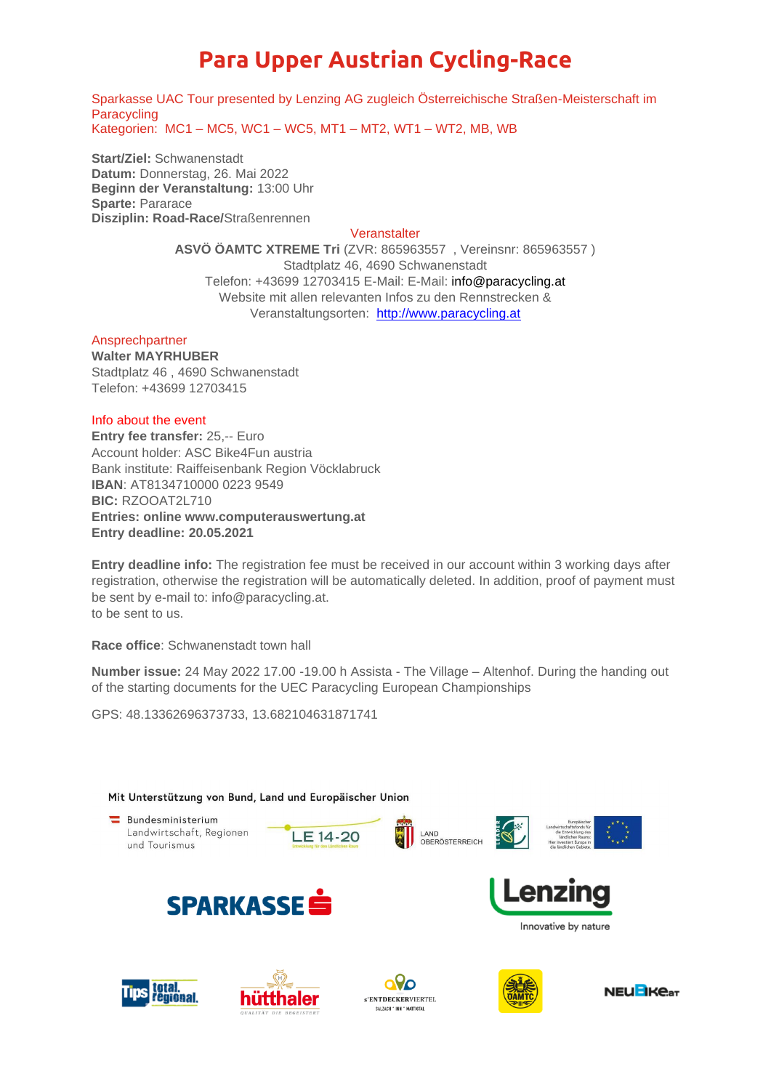## **Para Upper Austrian Cycling-Race**

Sparkasse UAC Tour presented by Lenzing AG zugleich Österreichische Straßen-Meisterschaft im **Paracycling** 

Kategorien: MC1 – MC5, WC1 – WC5, MT1 – MT2, WT1 – WT2, MB, WB

**Start/Ziel:** Schwanenstadt **Datum:** Donnerstag, 26. Mai 2022 **Beginn der Veranstaltung:** 13:00 Uhr **Sparte:** Pararace **Disziplin: Road-Race/**Straßenrennen

### **Veranstalter**

**ASVÖ ÖAMTC XTREME Tri** (ZVR: 865963557 , Vereinsnr: 865963557 ) Stadtplatz 46, 4690 Schwanenstadt Telefon: +43699 12703415 E-Mail: E-Mail: info@paracycling.at Website mit allen relevanten Infos zu den Rennstrecken & Veranstaltungsorten: [http://www.paracycling.at](http://www.paracycling.at.at/)

Ansprechpartner

**Walter MAYRHUBER** Stadtplatz 46 , 4690 Schwanenstadt Telefon: +43699 12703415

### Info about the event

**Entry fee transfer:** 25,-- Euro Account holder: ASC Bike4Fun austria Bank institute: Raiffeisenbank Region Vöcklabruck **IBAN**: AT8134710000 0223 9549 **BIC:** RZOOAT2L710 **Entries: online www.computerauswertung.at Entry deadline: 20.05.2021**

**Entry deadline info:** The registration fee must be received in our account within 3 working days after registration, otherwise the registration will be automatically deleted. In addition, proof of payment must be sent by e-mail to: info@paracycling.at. to be sent to us.

**Race office**: Schwanenstadt town hall

**Number issue:** 24 May 2022 17.00 -19.00 h Assista - The Village – Altenhof. During the handing out of the starting documents for the UEC Paracycling European Championships

GPS: 48.13362696373733, 13.682104631871741

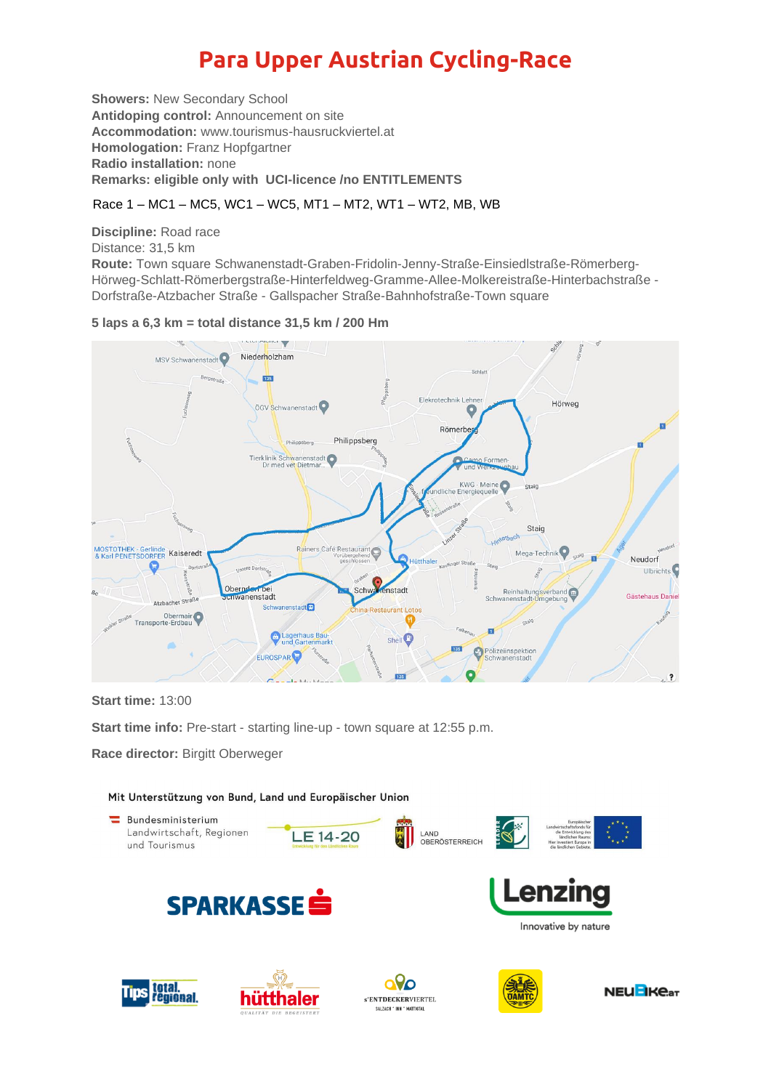# **Para Upper Austrian Cycling-Race**

**Showers:** New Secondary School **Antidoping control:** Announcement on site **Accommodation:** www.tourismus-hausruckviertel.at **Homologation:** Franz Hopfgartner **Radio installation:** none **Remarks: eligible only with UCI-licence /no ENTITLEMENTS**

## Race 1 – MC1 – MC5, WC1 – WC5, MT1 – MT2, WT1 – WT2, MB, WB

**Discipline:** Road race Distance: 31,5 km **Route:** Town square Schwanenstadt-Graben-Fridolin-Jenny-Straße-Einsiedlstraße-Römerberg-Hörweg-Schlatt-Römerbergstraße-Hinterfeldweg-Gramme-Allee-Molkereistraße-Hinterbachstraße - Dorfstraße-Atzbacher Straße - Gallspacher Straße-Bahnhofstraße-Town square

### **5 laps a 6,3 km = total distance 31,5 km / 200 Hm**



**Start time:** 13:00

**Start time info:** Pre-start - starting line-up - town square at 12:55 p.m.

**Race director:** Birgitt Oberweger